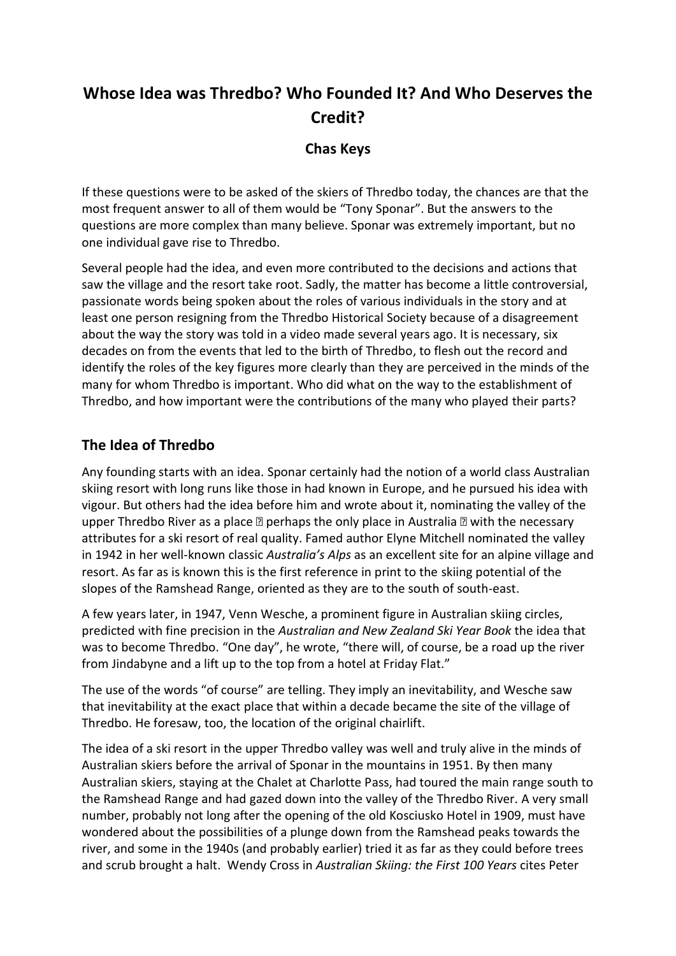# **Whose Idea was Thredbo? Who Founded It? And Who Deserves the Credit?**

#### **Chas Keys**

If these questions were to be asked of the skiers of Thredbo today, the chances are that the most frequent answer to all of them would be "Tony Sponar". But the answers to the questions are more complex than many believe. Sponar was extremely important, but no one individual gave rise to Thredbo.

Several people had the idea, and even more contributed to the decisions and actions that saw the village and the resort take root. Sadly, the matter has become a little controversial, passionate words being spoken about the roles of various individuals in the story and at least one person resigning from the Thredbo Historical Society because of a disagreement about the way the story was told in a video made several years ago. It is necessary, six decades on from the events that led to the birth of Thredbo, to flesh out the record and identify the roles of the key figures more clearly than they are perceived in the minds of the many for whom Thredbo is important. Who did what on the way to the establishment of Thredbo, and how important were the contributions of the many who played their parts?

## **The Idea of Thredbo**

Any founding starts with an idea. Sponar certainly had the notion of a world class Australian skiing resort with long runs like those in had known in Europe, and he pursued his idea with vigour. But others had the idea before him and wrote about it, nominating the valley of the upper Thredbo River as a place  $\mathbb D$  perhaps the only place in Australia  $\mathbb D$  with the necessary attributes for a ski resort of real quality. Famed author Elyne Mitchell nominated the valley in 1942 in her well-known classic *Australia's Alps* as an excellent site for an alpine village and resort. As far as is known this is the first reference in print to the skiing potential of the slopes of the Ramshead Range, oriented as they are to the south of south-east.

A few years later, in 1947, Venn Wesche, a prominent figure in Australian skiing circles, predicted with fine precision in the *Australian and New Zealand Ski Year Book* the idea that was to become Thredbo. "One day", he wrote, "there will, of course, be a road up the river from Jindabyne and a lift up to the top from a hotel at Friday Flat."

The use of the words "of course" are telling. They imply an inevitability, and Wesche saw that inevitability at the exact place that within a decade became the site of the village of Thredbo. He foresaw, too, the location of the original chairlift.

The idea of a ski resort in the upper Thredbo valley was well and truly alive in the minds of Australian skiers before the arrival of Sponar in the mountains in 1951. By then many Australian skiers, staying at the Chalet at Charlotte Pass, had toured the main range south to the Ramshead Range and had gazed down into the valley of the Thredbo River. A very small number, probably not long after the opening of the old Kosciusko Hotel in 1909, must have wondered about the possibilities of a plunge down from the Ramshead peaks towards the river, and some in the 1940s (and probably earlier) tried it as far as they could before trees and scrub brought a halt. Wendy Cross in *Australian Skiing: the First 100 Years* cites Peter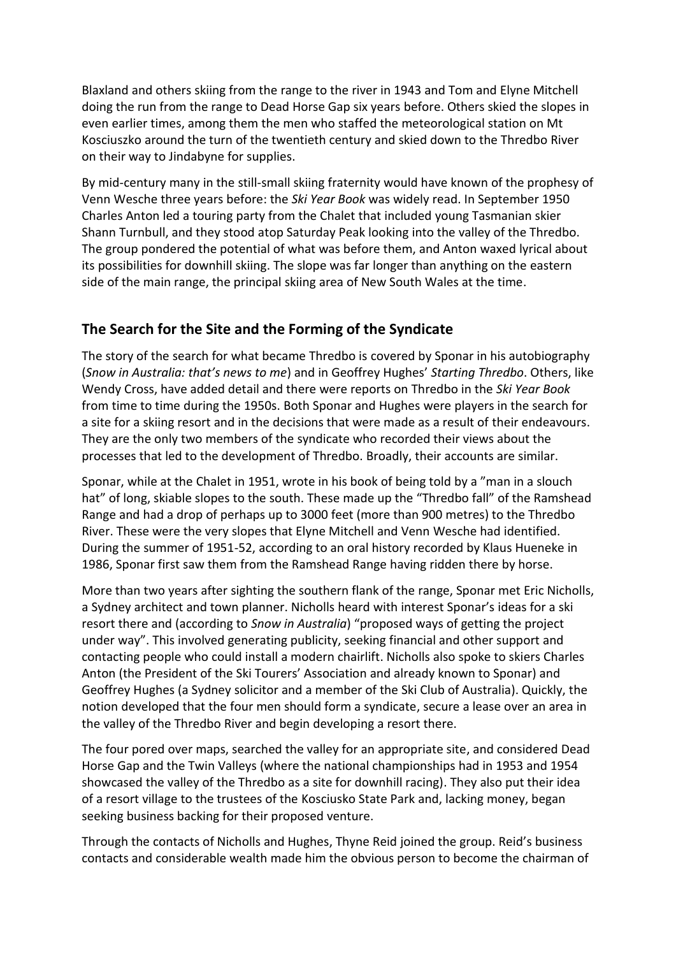Blaxland and others skiing from the range to the river in 1943 and Tom and Elyne Mitchell doing the run from the range to Dead Horse Gap six years before. Others skied the slopes in even earlier times, among them the men who staffed the meteorological station on Mt Kosciuszko around the turn of the twentieth century and skied down to the Thredbo River on their way to Jindabyne for supplies.

By mid-century many in the still-small skiing fraternity would have known of the prophesy of Venn Wesche three years before: the *Ski Year Book* was widely read. In September 1950 Charles Anton led a touring party from the Chalet that included young Tasmanian skier Shann Turnbull, and they stood atop Saturday Peak looking into the valley of the Thredbo. The group pondered the potential of what was before them, and Anton waxed lyrical about its possibilities for downhill skiing. The slope was far longer than anything on the eastern side of the main range, the principal skiing area of New South Wales at the time.

### **The Search for the Site and the Forming of the Syndicate**

The story of the search for what became Thredbo is covered by Sponar in his autobiography (*Snow in Australia: that's news to me*) and in Geoffrey Hughes' *Starting Thredbo*. Others, like Wendy Cross, have added detail and there were reports on Thredbo in the *Ski Year Book* from time to time during the 1950s. Both Sponar and Hughes were players in the search for a site for a skiing resort and in the decisions that were made as a result of their endeavours. They are the only two members of the syndicate who recorded their views about the processes that led to the development of Thredbo. Broadly, their accounts are similar.

Sponar, while at the Chalet in 1951, wrote in his book of being told by a "man in a slouch hat" of long, skiable slopes to the south. These made up the "Thredbo fall" of the Ramshead Range and had a drop of perhaps up to 3000 feet (more than 900 metres) to the Thredbo River. These were the very slopes that Elyne Mitchell and Venn Wesche had identified. During the summer of 1951-52, according to an oral history recorded by Klaus Hueneke in 1986, Sponar first saw them from the Ramshead Range having ridden there by horse.

More than two years after sighting the southern flank of the range, Sponar met Eric Nicholls, a Sydney architect and town planner. Nicholls heard with interest Sponar's ideas for a ski resort there and (according to *Snow in Australia*) "proposed ways of getting the project under way". This involved generating publicity, seeking financial and other support and contacting people who could install a modern chairlift. Nicholls also spoke to skiers Charles Anton (the President of the Ski Tourers' Association and already known to Sponar) and Geoffrey Hughes (a Sydney solicitor and a member of the Ski Club of Australia). Quickly, the notion developed that the four men should form a syndicate, secure a lease over an area in the valley of the Thredbo River and begin developing a resort there.

The four pored over maps, searched the valley for an appropriate site, and considered Dead Horse Gap and the Twin Valleys (where the national championships had in 1953 and 1954 showcased the valley of the Thredbo as a site for downhill racing). They also put their idea of a resort village to the trustees of the Kosciusko State Park and, lacking money, began seeking business backing for their proposed venture.

Through the contacts of Nicholls and Hughes, Thyne Reid joined the group. Reid's business contacts and considerable wealth made him the obvious person to become the chairman of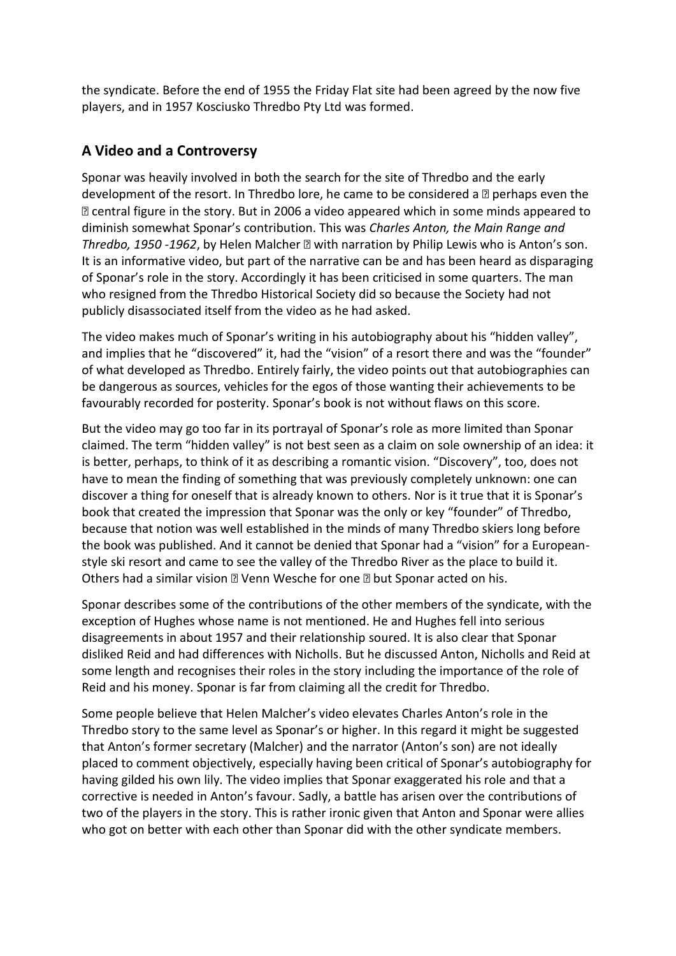the syndicate. Before the end of 1955 the Friday Flat site had been agreed by the now five players, and in 1957 Kosciusko Thredbo Pty Ltd was formed.

## **A Video and a Controversy**

Sponar was heavily involved in both the search for the site of Thredbo and the early development of the resort. In Thredbo lore, he came to be considered a  $\mathbb D$  perhaps even the ꟷ central figure in the story. But in 2006 a video appeared which in some minds appeared to diminish somewhat Sponar's contribution. This was *Charles Anton, the Main Range and Thredbo, 1950 -1962*, by Helen Malcher ꟷ with narration by Philip Lewis who is Anton's son. It is an informative video, but part of the narrative can be and has been heard as disparaging of Sponar's role in the story. Accordingly it has been criticised in some quarters. The man who resigned from the Thredbo Historical Society did so because the Society had not publicly disassociated itself from the video as he had asked.

The video makes much of Sponar's writing in his autobiography about his "hidden valley", and implies that he "discovered" it, had the "vision" of a resort there and was the "founder" of what developed as Thredbo. Entirely fairly, the video points out that autobiographies can be dangerous as sources, vehicles for the egos of those wanting their achievements to be favourably recorded for posterity. Sponar's book is not without flaws on this score.

But the video may go too far in its portrayal of Sponar's role as more limited than Sponar claimed. The term "hidden valley" is not best seen as a claim on sole ownership of an idea: it is better, perhaps, to think of it as describing a romantic vision. "Discovery", too, does not have to mean the finding of something that was previously completely unknown: one can discover a thing for oneself that is already known to others. Nor is it true that it is Sponar's book that created the impression that Sponar was the only or key "founder" of Thredbo, because that notion was well established in the minds of many Thredbo skiers long before the book was published. And it cannot be denied that Sponar had a "vision" for a Europeanstyle ski resort and came to see the valley of the Thredbo River as the place to build it. Others had a similar vision a Venn Wesche for one a but Sponar acted on his.

Sponar describes some of the contributions of the other members of the syndicate, with the exception of Hughes whose name is not mentioned. He and Hughes fell into serious disagreements in about 1957 and their relationship soured. It is also clear that Sponar disliked Reid and had differences with Nicholls. But he discussed Anton, Nicholls and Reid at some length and recognises their roles in the story including the importance of the role of Reid and his money. Sponar is far from claiming all the credit for Thredbo.

Some people believe that Helen Malcher's video elevates Charles Anton's role in the Thredbo story to the same level as Sponar's or higher. In this regard it might be suggested that Anton's former secretary (Malcher) and the narrator (Anton's son) are not ideally placed to comment objectively, especially having been critical of Sponar's autobiography for having gilded his own lily. The video implies that Sponar exaggerated his role and that a corrective is needed in Anton's favour. Sadly, a battle has arisen over the contributions of two of the players in the story. This is rather ironic given that Anton and Sponar were allies who got on better with each other than Sponar did with the other syndicate members.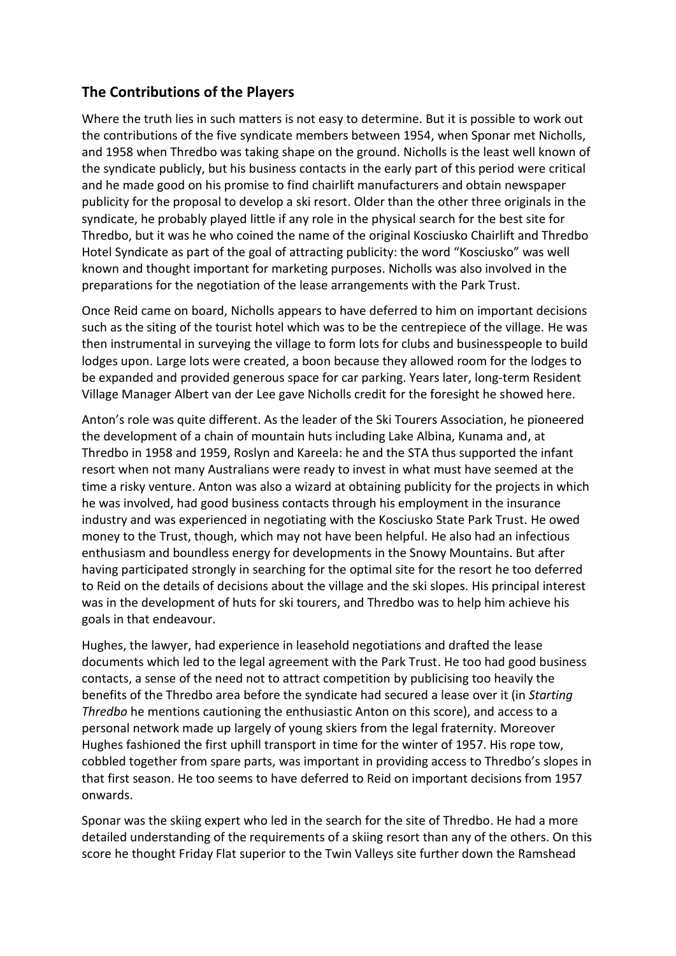## **The Contributions of the Players**

Where the truth lies in such matters is not easy to determine. But it is possible to work out the contributions of the five syndicate members between 1954, when Sponar met Nicholls, and 1958 when Thredbo was taking shape on the ground. Nicholls is the least well known of the syndicate publicly, but his business contacts in the early part of this period were critical and he made good on his promise to find chairlift manufacturers and obtain newspaper publicity for the proposal to develop a ski resort. Older than the other three originals in the syndicate, he probably played little if any role in the physical search for the best site for Thredbo, but it was he who coined the name of the original Kosciusko Chairlift and Thredbo Hotel Syndicate as part of the goal of attracting publicity: the word "Kosciusko" was well known and thought important for marketing purposes. Nicholls was also involved in the preparations for the negotiation of the lease arrangements with the Park Trust.

Once Reid came on board, Nicholls appears to have deferred to him on important decisions such as the siting of the tourist hotel which was to be the centrepiece of the village. He was then instrumental in surveying the village to form lots for clubs and businesspeople to build lodges upon. Large lots were created, a boon because they allowed room for the lodges to be expanded and provided generous space for car parking. Years later, long-term Resident Village Manager Albert van der Lee gave Nicholls credit for the foresight he showed here.

Anton's role was quite different. As the leader of the Ski Tourers Association, he pioneered the development of a chain of mountain huts including Lake Albina, Kunama and, at Thredbo in 1958 and 1959, Roslyn and Kareela: he and the STA thus supported the infant resort when not many Australians were ready to invest in what must have seemed at the time a risky venture. Anton was also a wizard at obtaining publicity for the projects in which he was involved, had good business contacts through his employment in the insurance industry and was experienced in negotiating with the Kosciusko State Park Trust. He owed money to the Trust, though, which may not have been helpful. He also had an infectious enthusiasm and boundless energy for developments in the Snowy Mountains. But after having participated strongly in searching for the optimal site for the resort he too deferred to Reid on the details of decisions about the village and the ski slopes. His principal interest was in the development of huts for ski tourers, and Thredbo was to help him achieve his goals in that endeavour.

Hughes, the lawyer, had experience in leasehold negotiations and drafted the lease documents which led to the legal agreement with the Park Trust. He too had good business contacts, a sense of the need not to attract competition by publicising too heavily the benefits of the Thredbo area before the syndicate had secured a lease over it (in *Starting Thredbo* he mentions cautioning the enthusiastic Anton on this score), and access to a personal network made up largely of young skiers from the legal fraternity. Moreover Hughes fashioned the first uphill transport in time for the winter of 1957. His rope tow, cobbled together from spare parts, was important in providing access to Thredbo's slopes in that first season. He too seems to have deferred to Reid on important decisions from 1957 onwards.

Sponar was the skiing expert who led in the search for the site of Thredbo. He had a more detailed understanding of the requirements of a skiing resort than any of the others. On this score he thought Friday Flat superior to the Twin Valleys site further down the Ramshead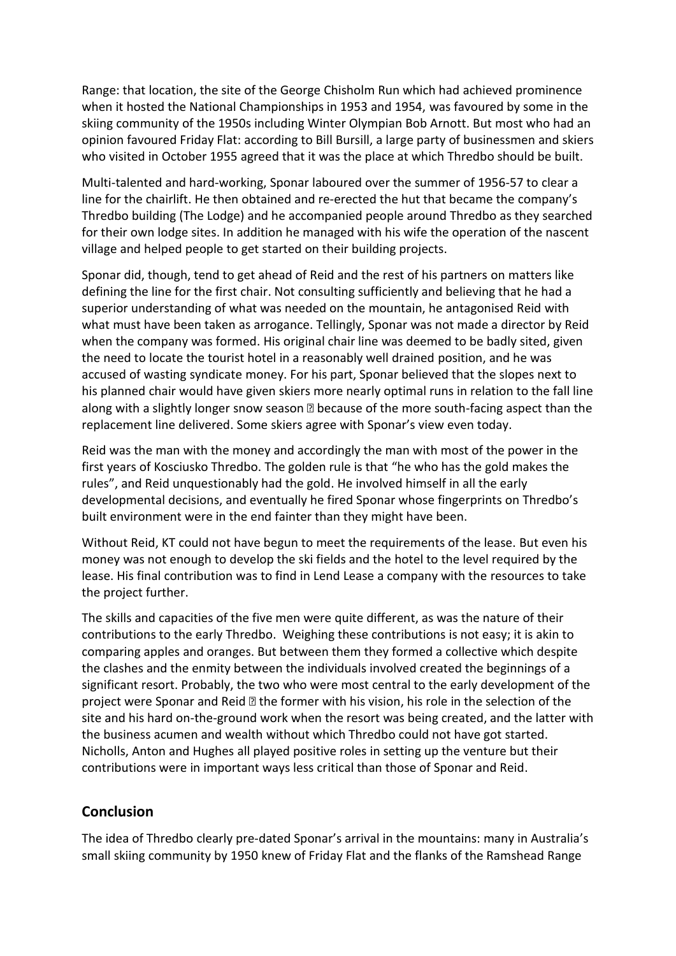Range: that location, the site of the George Chisholm Run which had achieved prominence when it hosted the National Championships in 1953 and 1954, was favoured by some in the skiing community of the 1950s including Winter Olympian Bob Arnott. But most who had an opinion favoured Friday Flat: according to Bill Bursill, a large party of businessmen and skiers who visited in October 1955 agreed that it was the place at which Thredbo should be built.

Multi-talented and hard-working, Sponar laboured over the summer of 1956-57 to clear a line for the chairlift. He then obtained and re-erected the hut that became the company's Thredbo building (The Lodge) and he accompanied people around Thredbo as they searched for their own lodge sites. In addition he managed with his wife the operation of the nascent village and helped people to get started on their building projects.

Sponar did, though, tend to get ahead of Reid and the rest of his partners on matters like defining the line for the first chair. Not consulting sufficiently and believing that he had a superior understanding of what was needed on the mountain, he antagonised Reid with what must have been taken as arrogance. Tellingly, Sponar was not made a director by Reid when the company was formed. His original chair line was deemed to be badly sited, given the need to locate the tourist hotel in a reasonably well drained position, and he was accused of wasting syndicate money. For his part, Sponar believed that the slopes next to his planned chair would have given skiers more nearly optimal runs in relation to the fall line along with a slightly longer snow season  $\mathbb B$  because of the more south-facing aspect than the replacement line delivered. Some skiers agree with Sponar's view even today.

Reid was the man with the money and accordingly the man with most of the power in the first years of Kosciusko Thredbo. The golden rule is that "he who has the gold makes the rules", and Reid unquestionably had the gold. He involved himself in all the early developmental decisions, and eventually he fired Sponar whose fingerprints on Thredbo's built environment were in the end fainter than they might have been.

Without Reid, KT could not have begun to meet the requirements of the lease. But even his money was not enough to develop the ski fields and the hotel to the level required by the lease. His final contribution was to find in Lend Lease a company with the resources to take the project further.

The skills and capacities of the five men were quite different, as was the nature of their contributions to the early Thredbo. Weighing these contributions is not easy; it is akin to comparing apples and oranges. But between them they formed a collective which despite the clashes and the enmity between the individuals involved created the beginnings of a significant resort. Probably, the two who were most central to the early development of the project were Sponar and Reid  $\mathbb B$  the former with his vision, his role in the selection of the site and his hard on-the-ground work when the resort was being created, and the latter with the business acumen and wealth without which Thredbo could not have got started. Nicholls, Anton and Hughes all played positive roles in setting up the venture but their contributions were in important ways less critical than those of Sponar and Reid.

#### **Conclusion**

The idea of Thredbo clearly pre-dated Sponar's arrival in the mountains: many in Australia's small skiing community by 1950 knew of Friday Flat and the flanks of the Ramshead Range